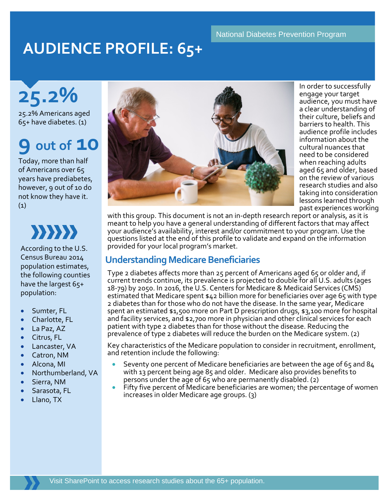#### National Diabetes Prevention Program

# **AUDIENCE PROFILE: 65+**

**25.2%**

25.2% Americans aged 65+ have diabetes. (1)

# **9 out of 10**

Today, more than half of Americans over 65 years have prediabetes, however, 9 out of 10 do not know they have it. (1)

 $\{\{\}\}$ 

According to the U.S. Census Bureau 2014 population estimates, the following counties have the largest 65+ population:

- Sumter, FL
- Charlotte, FL
- La Paz, AZ
- Citrus, FL
- Lancaster, VA
- Catron, NM
- Alcona, MI
- Northumberland, VA
- Sierra, NM
- Sarasota, FL
- Llano, TX



In order to successfully engage your target audience, you must have a clear understanding of their culture, beliefs and barriers to health. This audience profile includes information about the cultural nuances that need to be considered when reaching adults aged 65 and older, based on the review of various research studies and also taking into consideration lessons learned through past experiences working

with this group. This document is not an in-depth research report or analysis, as it is meant to help you have a general understanding of different factors that may affect your audience's availability, interest and/or commitment to your program. Use the questions listed at the end of this profile to validate and expand on the information provided for your local program's market.

### **Understanding Medicare Beneficiaries**

Type 2 diabetes affects more than 25 percent of Americans aged 65 or older and, if current trends continue, its prevalence is projected to double for all U.S. adults (ages 18-79) by 2050. In 2016, the U.S. Centers for Medicare & Medicaid Services (CMS) estimated that Medicare spent \$42 billion more for beneficiaries over age 65 with type 2 diabetes than for those who do not have the disease. In the same year, Medicare spent an estimated \$1,500 more on Part D prescription drugs, \$3,100 more for hospital and facility services, and \$2,700 more in physician and other clinical services for each patient with type 2 diabetes than for those without the disease. Reducing the prevalence of type 2 diabetes will reduce the burden on the Medicare system. (2)

Key characteristics of the Medicare population to consider in recruitment, enrollment, and retention include the following:

- Seventy one percent of Medicare beneficiaries are between the age of 65 and 84 with 13 percent being age 85 and older. Medicare also provides benefits to
- persons under the age of 65 who are permanently disabled. (2)<br>Fifty five percent of Medicare beneficiaries are women; the percentage of women increases in older Medicare age groups. (3)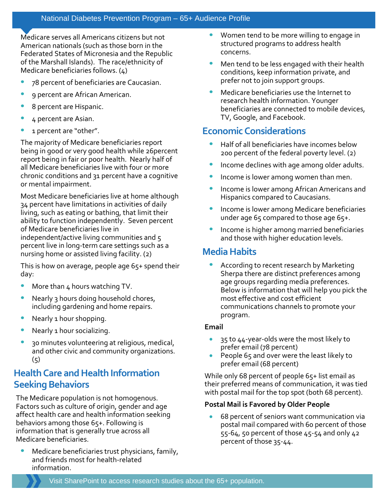#### National Diabetes Prevention Program – 65+ Audience Profile

Medicare serves all Americans citizens but not American nationals (such as those born in the Federated States of Micronesia and the Republic of the Marshall Islands). The race/ethnicity of Medicare beneficiaries follows. (4)

- 78 percent of beneficiaries are Caucasian.
- 9 percent are African American.
- 8 percent are Hispanic.
- 4 percent are Asian.
- 1 percent are "other".

The majority of Medicare beneficiaries report being in good or very good health while 26percent report being in fair or poor health. Nearly half of all Medicare beneficiaries live with four or more chronic conditions and 31 percent have a cognitive or mental impairment.

Most Medicare beneficiaries live at home although 34 percent have limitations in activities of daily living, such as eating or bathing, that limit their ability to function independently. Seven percent of Medicare beneficiaries live in independent/active living communities and 5 percent live in long-term care settings such as a nursing home or assisted living facility. (2)

This is how on average, people age 65+ spend their day:

- More than 4 hours watching TV.
- Nearly 3 hours doing household chores, including gardening and home repairs.
- Nearly 1 hour shopping.
- Nearly 1 hour socializing.
- 30 minutes volunteering at religious, medical, and other civic and community organizations.  $(5)$

## **Health Care and Health Information Seeking Behaviors**

The Medicare population is not homogenous. Factors such as culture of origin, gender and age affect health care and health information seeking behaviors among those 65+. Following is information that is generally true across all Medicare beneficiaries.

Medicare beneficiaries trust physicians, family, and friends most for health-related information.

- Women tend to be more willing to engage in structured programs to address health concerns.
- Men tend to be less engaged with their health conditions, keep information private, and prefer not to join support groups.
- Medicare beneficiaries use the Internet to research health information. Younger beneficiaries are connected to mobile devices, TV, Google, and Facebook.

# **Economic Considerations**

- Half of all beneficiaries have incomes below 200 percent of the federal poverty level. (2)
- Income declines with age among older adults.
- Income is lower among women than men.
- Income is lower among African Americans and Hispanics compared to Caucasians.
- Income is lower among Medicare beneficiaries under age 65 compared to those age 65+.
- Income is higher among married beneficiaries and those with higher education levels.

### **Media Habits**

• According to recent research by Marketing Sherpa there are distinct preferences among age groups regarding media preferences. Below is information that will help you pick the most effective and cost efficient communications channels to promote your program.

#### **Email**

- 35 to 44-year-olds were the most likely to prefer email (78 percent)
- People 65 and over were the least likely to prefer email (68 percent)

While only 68 percent of people 65+ list email as their preferred means of communication, it was tied with postal mail for the top spot (both 68 percent).

#### **Postal Mail is Favored by Older People**

• 68 percent of seniors want communication via postal mail compared with 60 percent of those 55-64, 50 percent of those 45-54 and only 42 percent of those 35-44.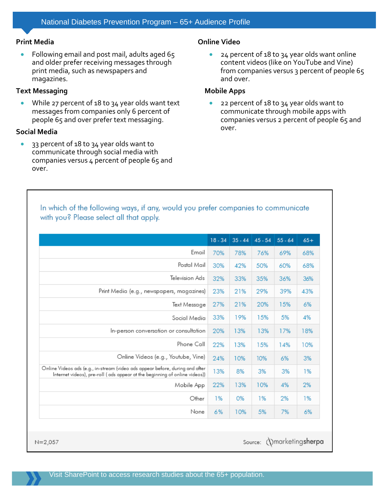#### **Print Media**

• Following email and post mail, adults aged 65 and older prefer receiving messages through print media, such as newspapers and magazines.

#### **Text Messaging**

• While 27 percent of 18 to 34 year olds want text messages from companies only 6 percent of people 65 and over prefer text messaging.

#### **Social Media**

• 33 percent of 18 to 34 year olds want to communicate through social media with companies versus 4 percent of people 65 and over.

#### **Online Video**

• 24 percent of 18 to 34 year olds want online content videos (like on YouTube and Vine) from companies versus 3 percent of people 65 and over.

#### **Mobile Apps**

• 22 percent of 18 to 34 year olds want to communicate through mobile apps with companies versus 2 percent of people 65 and over.

#### In which of the following ways, if any, would you prefer companies to communicate with you? Please select all that apply.

|                                                                                                                                                             | $18 - 34$ | $35 - 44$ | $45 - 54$ | $55 - 64$ | $65+$ |
|-------------------------------------------------------------------------------------------------------------------------------------------------------------|-----------|-----------|-----------|-----------|-------|
| Email                                                                                                                                                       | 70%       | 78%       | 76%       | 69%       | 68%   |
| Postal Mail                                                                                                                                                 | 30%       | 42%       | 50%       | 60%       | 68%   |
| Television Ads                                                                                                                                              | 32%       | 33%       | 35%       | 36%       | 36%   |
| Print Media (e.g., newspapers, magazines)                                                                                                                   | 23%       | 21%       | 29%       | 39%       | 43%   |
| Text Message                                                                                                                                                | 27%       | 21%       | 20%       | 15%       | 6%    |
| Social Media                                                                                                                                                | 33%       | 19%       | 15%       | 5%        | 4%    |
| In-person conversation or consultation                                                                                                                      | 20%       | 13%       | 13%       | 17%       | 18%   |
| Phone Call                                                                                                                                                  | 22%       | 13%       | 15%       | 14%       | 10%   |
| Online Videos (e.g., Youtube, Vine)                                                                                                                         | 24%       | 10%       | 10%       | 6%        | 3%    |
| Online Videos ads (e.g., in-stream (video ads appear before, during and after<br>Internet videos), pre-roll (ads appear at the beginning of online videos)) | 13%       | 8%        | 3%        | 3%        | 1%    |
| Mobile App                                                                                                                                                  | 22%       | 13%       | 10%       | 4%        | 2%    |
| Other                                                                                                                                                       | 1%        | 0%        | 1%        | 2%        | 1%    |
| None                                                                                                                                                        | 6%        | 10%       | 5%        | 7%        | 6%    |

Visit SharePoint to access research studies about the 65+ population.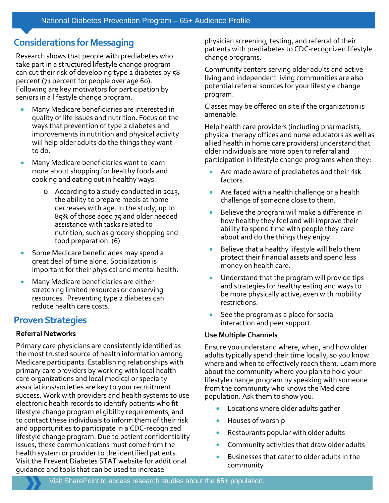# **Considerations for Messaging**

Research shows that people with prediabetes who take part in a structured lifestyle change program can cut their risk of developing type 2 diabetes by 58 percent (71 percent for people over age 60). Following are key motivators for participation by seniors in a lifestyle change program.

- Many Medicare beneficiaries are interested in quality of life issues and nutrition. Focus on the ways that prevention of type 2 diabetes and improvements in nutrition and physical activity will help older adults do the things they want to do.
- Many Medicare beneficiaries want to learn more about shopping for healthy foods and cooking and eating out in healthy ways.
	- o According to a study conducted in 2013, the ability to prepare meals at home decreases with age. In the study, up to 85% of those aged 75 and older needed assistance with tasks related to nutrition, such as grocery shopping and food preparation. (6)
- Some Medicare beneficiaries may spend a great deal of time alone. Socialization is important for their physical and mental health.
- Many Medicare beneficiaries are either stretching limited resources or conserving resources. Preventing type 2 diabetes can reduce health care costs.

## **Proven Strategies**

#### **Referral Networks**

Primary care physicians are consistently identified as the most trusted source of health information among Medicare participants. Establishing relationships with primary care providers by working with local health care organizations and local medical or specialty associations/societies are key to your recruitment success. Work with providers and health systems to use electronic health records to identify patients who fit lifestyle change program eligibility requirements, and to contact these individuals to inform them of their risk and opportunities to participate in a CDC-recognized lifestyle change program. Due to patient confidentiality issues, these communications must come from the health system or provider to the identified patients. Visit the [Prevent Diabetes STAT](https://www.preventdiabetesstat.org/) website for additional guidance and tools that can be used to increase

physician screening, testing, and referral of their patients with prediabetes to CDC-recognized lifestyle change programs.

Community centers serving older adults and active living and independent living communities are also potential referral sources for your lifestyle change program.

Classes may be offered on site if the organization is amenable.

Help health care providers (including pharmacists, physical therapy offices and nurse educators as well as allied health in home care providers) understand that older individuals are more open to referral and participation in lifestyle change programs when they:

- Are made aware of prediabetes and their risk factors.
- Are faced with a health challenge or a health challenge of someone close to them.
- Believe the program will make a difference in how healthy they feel and will improve their ability to spend time with people they care about and do the things they enjoy.
- Believe that a healthy lifestyle will help them protect their financial assets and spend less money on health care.
- Understand that the program will provide tips and strategies for healthy eating and ways to be more physically active, even with mobility restrictions.
- See the program as a place for social interaction and peer support.

#### **Use Multiple Channels**

Ensure you understand where, when, and how older adults typically spend their time locally, so you know where and when to effectively reach them. Learn more about the community where you plan to hold your lifestyle change program by speaking with someone from the community who knows the Medicare population. Ask them to show you:

- Locations where older adults gather
- Houses of worship
- Restaurants popular with older adults
- Community activities that draw older adults
- Businesses that cater to older adults in the community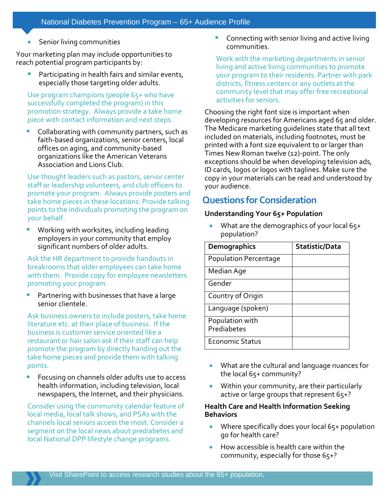Senior living communities

Your marketing plan may include opportunities to reach potential program participants by:

• Participating in health fairs and similar events, especially those targeting older adults.

Use program champions (people 65+ who have successfully completed the program) in this promotion strategy. Always provide a take home piece with contact information and next steps.

Collaborating with community partners, such as faith-based organizations, senior centers, local offices on aging, and community-based organizations like the American Veterans Association and Lions Club.

Use thought leaders such as pastors, senior center staff or leadership volunteers, and club officers to promote your program. Always provide posters and take home pieces in these locations. Provide talking points to the individuals promoting the program on your behalf.

• Working with worksites, including leading employers in your community that employ significant numbers of older adults.

Ask the HR department to provide handouts in breakrooms that older employees can take home with them. Provide copy for employee newsletters promoting your program.

• Partnering with businesses that have a large senior clientele.

Ask business owners to include posters, take home literature etc. at their place of business. If the business is customer service oriented like a restaurant or hair salon ask if their staff can help promote the program by directly handing out the take home pieces and provide them with talking points.

• Focusing on channels older adults use to access health information, including television, local newspapers, the Internet, and their physicians.

Consider using the community calendar feature of local media, local talk shows, and PSAs with the channels local seniors access the most. Consider a segment on the local news about prediabetes and local National DPP lifestyle change programs.

• Connecting with senior living and active living communities.

Work with the marketing departments in senior living and active living communities to promote your program to their residents. Partner with park districts, fitness centers or any outlets at the community level that may offer free recreational activities for seniors.

Choosing the right font size is important when developing resources for Americans aged 65 and older. The Medicare marketing guidelines state that all text included on materials, including footnotes, must be printed with a font size equivalent to or larger than Times New Roman twelve (12)-point. The only exceptions should be when developing television ads, ID cards, logos or logos with taglines. Make sure the copy in your materials can be read and understood by your audience.

## **Questions for Consideration**

#### **Understanding Your 65+ Population**

• What are the demographics of your local 65+ population?

| <b>Demographics</b>            | Statistic/Data |
|--------------------------------|----------------|
| <b>Population Percentage</b>   |                |
| Median Age                     |                |
| Gender                         |                |
| Country of Origin              |                |
| Language (spoken)              |                |
| Population with<br>Prediabetes |                |
| <b>Economic Status</b>         |                |

- What are the cultural and language nuances for the local 65+ community?
- Within your community, are their particularly active or large groups that represent 65+?

#### **Health Care and Health Information Seeking Behaviors**

- Where specifically does your local 65+ population go for health care?
- How accessible is health care within the community, especially for those 65+?